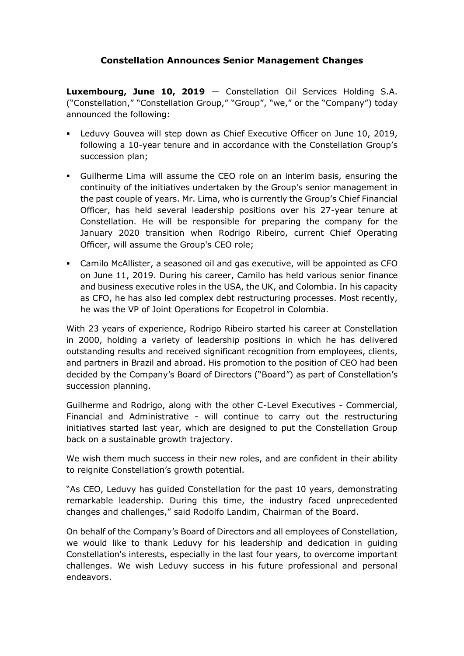## **Constellation Announces Senior Management Changes**

**Luxembourg, June 10, 2019** — Constellation Oil Services Holding S.A. ("Constellation," "Constellation Group," "Group", "we," or the "Company") today announced the following:

- Leduvy Gouvea will step down as Chief Executive Officer on June 10, 2019, following a 10-year tenure and in accordance with the Constellation Group's succession plan;
- Guilherme Lima will assume the CEO role on an interim basis, ensuring the continuity of the initiatives undertaken by the Group's senior management in the past couple of years. Mr. Lima, who is currently the Group's Chief Financial Officer, has held several leadership positions over his 27-year tenure at Constellation. He will be responsible for preparing the company for the January 2020 transition when Rodrigo Ribeiro, current Chief Operating Officer, will assume the Group's CEO role;
- Camilo McAllister, a seasoned oil and gas executive, will be appointed as CFO on June 11, 2019. During his career, Camilo has held various senior finance and business executive roles in the USA, the UK, and Colombia. In his capacity as CFO, he has also led complex debt restructuring processes. Most recently, he was the VP of Joint Operations for Ecopetrol in Colombia.

With 23 years of experience, Rodrigo Ribeiro started his career at Constellation in 2000, holding a variety of leadership positions in which he has delivered outstanding results and received significant recognition from employees, clients, and partners in Brazil and abroad. His promotion to the position of CEO had been decided by the Company's Board of Directors ("Board") as part of Constellation's succession planning.

Guilherme and Rodrigo, along with the other C-Level Executives - Commercial, Financial and Administrative - will continue to carry out the restructuring initiatives started last year, which are designed to put the Constellation Group back on a sustainable growth trajectory.

We wish them much success in their new roles, and are confident in their ability to reignite Constellation's growth potential.

"As CEO, Leduvy has guided Constellation for the past 10 years, demonstrating remarkable leadership. During this time, the industry faced unprecedented changes and challenges," said Rodolfo Landim, Chairman of the Board.

On behalf of the Company's Board of Directors and all employees of Constellation, we would like to thank Leduvy for his leadership and dedication in guiding Constellation's interests, especially in the last four years, to overcome important challenges. We wish Leduvy success in his future professional and personal endeavors.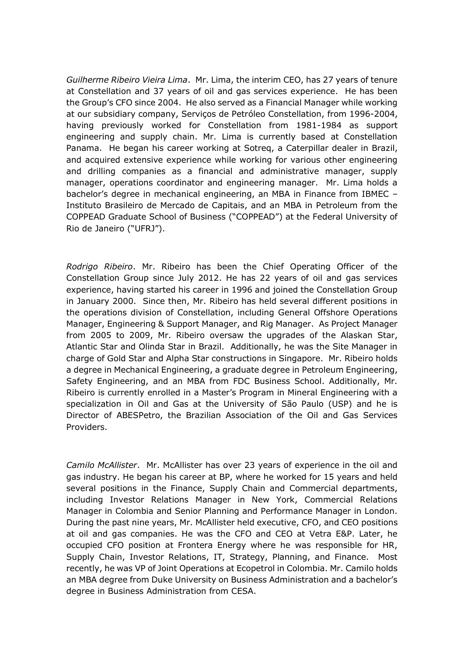*Guilherme Ribeiro Vieira Lima*. Mr. Lima, the interim CEO, has 27 years of tenure at Constellation and 37 years of oil and gas services experience. He has been the Group's CFO since 2004. He also served as a Financial Manager while working at our subsidiary company, Serviços de Petróleo Constellation, from 1996-2004, having previously worked for Constellation from 1981-1984 as support engineering and supply chain. Mr. Lima is currently based at Constellation Panama. He began his career working at Sotreq, a Caterpillar dealer in Brazil, and acquired extensive experience while working for various other engineering and drilling companies as a financial and administrative manager, supply manager, operations coordinator and engineering manager. Mr. Lima holds a bachelor's degree in mechanical engineering, an MBA in Finance from IBMEC – Instituto Brasileiro de Mercado de Capitais, and an MBA in Petroleum from the COPPEAD Graduate School of Business ("COPPEAD") at the Federal University of Rio de Janeiro ("UFRJ").

*Rodrigo Ribeiro*. Mr. Ribeiro has been the Chief Operating Officer of the Constellation Group since July 2012. He has 22 years of oil and gas services experience, having started his career in 1996 and joined the Constellation Group in January 2000. Since then, Mr. Ribeiro has held several different positions in the operations division of Constellation, including General Offshore Operations Manager, Engineering & Support Manager, and Rig Manager. As Project Manager from 2005 to 2009, Mr. Ribeiro oversaw the upgrades of the Alaskan Star, Atlantic Star and Olinda Star in Brazil. Additionally, he was the Site Manager in charge of Gold Star and Alpha Star constructions in Singapore. Mr. Ribeiro holds a degree in Mechanical Engineering, a graduate degree in Petroleum Engineering, Safety Engineering, and an MBA from FDC Business School. Additionally, Mr. Ribeiro is currently enrolled in a Master's Program in Mineral Engineering with a specialization in Oil and Gas at the University of São Paulo (USP) and he is Director of ABESPetro, the Brazilian Association of the Oil and Gas Services Providers.

*Camilo McAllister*. Mr. McAllister has over 23 years of experience in the oil and gas industry. He began his career at BP, where he worked for 15 years and held several positions in the Finance, Supply Chain and Commercial departments, including Investor Relations Manager in New York, Commercial Relations Manager in Colombia and Senior Planning and Performance Manager in London. During the past nine years, Mr. McAllister held executive, CFO, and CEO positions at oil and gas companies. He was the CFO and CEO at Vetra E&P. Later, he occupied CFO position at Frontera Energy where he was responsible for HR, Supply Chain, Investor Relations, IT, Strategy, Planning, and Finance. Most recently, he was VP of Joint Operations at Ecopetrol in Colombia. Mr. Camilo holds an MBA degree from Duke University on Business Administration and a bachelor's degree in Business Administration from CESA.